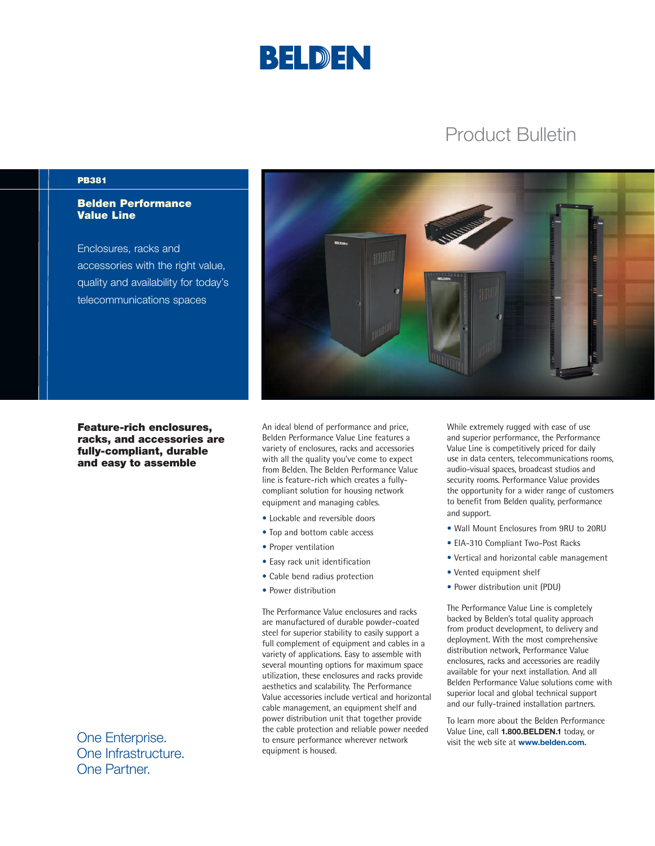

# Product Bulletin

#### PB381

## Belden Performance Value Line

Enclosures, racks and accessories with the right value, quality and availability for today's telecommunications spaces



An ideal blend of performance and price, Belden Performance Value Line features a variety of enclosures, racks and accessories with all the quality you've come to expect from Belden. The Belden Performance Value line is feature-rich which creates a fullycompliant solution for housing network equipment and managing cables.

- Lockable and reversible doors
- Top and bottom cable access
- Proper ventilation
- Easy rack unit identification
- Cable bend radius protection
- Power distribution

The Performance Value enclosures and racks are manufactured of durable powder-coated steel for superior stability to easily support a full complement of equipment and cables in a variety of applications. Easy to assemble with several mounting options for maximum space utilization, these enclosures and racks provide aesthetics and scalability. The Performance Value accessories include vertical and horizontal cable management, an equipment shelf and power distribution unit that together provide the cable protection and reliable power needed to ensure performance wherever network equipment is housed.

While extremely rugged with ease of use and superior performance, the Performance Value Line is competitively priced for daily use in data centers, telecommunications rooms, audio-visual spaces, broadcast studios and security rooms. Performance Value provides the opportunity for a wider range of customers to benefit from Belden quality, performance and support.

- Wall Mount Enclosures from 9RU to 20RU
- EIA-310 Compliant Two-Post Racks
- Vertical and horizontal cable management
- Vented equipment shelf
- Power distribution unit (PDU)

The Performance Value Line is completely backed by Belden's total quality approach from product development, to delivery and deployment. With the most comprehensive distribution network, Performance Value enclosures, racks and accessories are readily available for your next installation. And all Belden Performance Value solutions come with superior local and global technical support and our fully-trained installation partners.

To learn more about the Belden Performance Value Line, call **1.800.BELDEN.1** today, or visit the web site at **www.belden.com.**

One Enterprise. One Infrastructure. One Partner.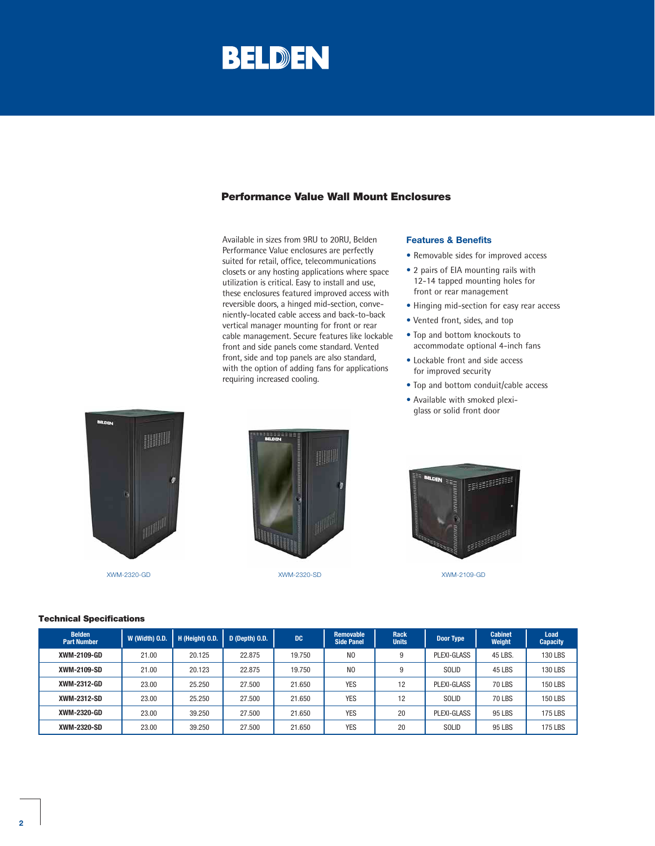# BELDEN

# Performance Value Wall Mount Enclosures

Available in sizes from 9RU to 20RU, Belden Performance Value enclosures are perfectly suited for retail, office, telecommunications closets or any hosting applications where space utilization is critical. Easy to install and use, these enclosures featured improved access with reversible doors, a hinged mid-section, conveniently-located cable access and back-to-back vertical manager mounting for front or rear cable management. Secure features like lockable front and side panels come standard. Vented front, side and top panels are also standard, with the option of adding fans for applications requiring increased cooling.

#### **Features & Benefits**

- Removable sides for improved access
- 2 pairs of EIA mounting rails with 12-14 tapped mounting holes for front or rear management
- Hinging mid-section for easy rear access
- Vented front, sides, and top
- Top and bottom knockouts to accommodate optional 4-inch fans
- Lockable front and side access for improved security
- Top and bottom conduit/cable access
- Available with smoked plexiglass or solid front door



XWM-2320-GD XWM-2320-SD XWM-2109-GD





| <b>Belden</b><br><b>Part Number</b> | W (Width) O.D. | H (Height) O.D. | D (Depth) O.D. | <b>DC</b> | <b>Removable</b><br><b>Side Panel</b> | <b>Rack</b><br><b>Units</b> | Door Type    | <b>Cabinet</b><br>Weight | Load<br><b>Capacity</b> |
|-------------------------------------|----------------|-----------------|----------------|-----------|---------------------------------------|-----------------------------|--------------|--------------------------|-------------------------|
| XWM-2109-GD                         | 21.00          | 20.125          | 22.875         | 19.750    | N <sub>0</sub>                        | 9                           | PLEXI-GLASS  | 45 LBS.                  | <b>130 LBS</b>          |
| XWM-2109-SD                         | 21.00          | 20.123          | 22.875         | 19.750    | N <sub>0</sub>                        | 9                           | <b>SOLID</b> | <b>45 LBS</b>            | <b>130 LBS</b>          |
| XWM-2312-GD                         | 23.00          | 25.250          | 27.500         | 21.650    | <b>YES</b>                            | 12                          | PLEXI-GLASS  | <b>70 LBS</b>            | <b>150 LBS</b>          |
| XWM-2312-SD                         | 23.00          | 25.250          | 27.500         | 21.650    | <b>YES</b>                            | 12                          | <b>SOLID</b> | <b>70 LBS</b>            | <b>150 LBS</b>          |
| XWM-2320-GD                         | 23.00          | 39.250          | 27.500         | 21.650    | <b>YES</b>                            | 20                          | PLEXI-GLASS  | 95 LBS                   | 175 LBS                 |
| XWM-2320-SD                         | 23.00          | 39.250          | 27.500         | 21.650    | <b>YES</b>                            | 20                          | <b>SOLID</b> | 95 LBS                   | 175 LBS                 |

#### Technical Specifications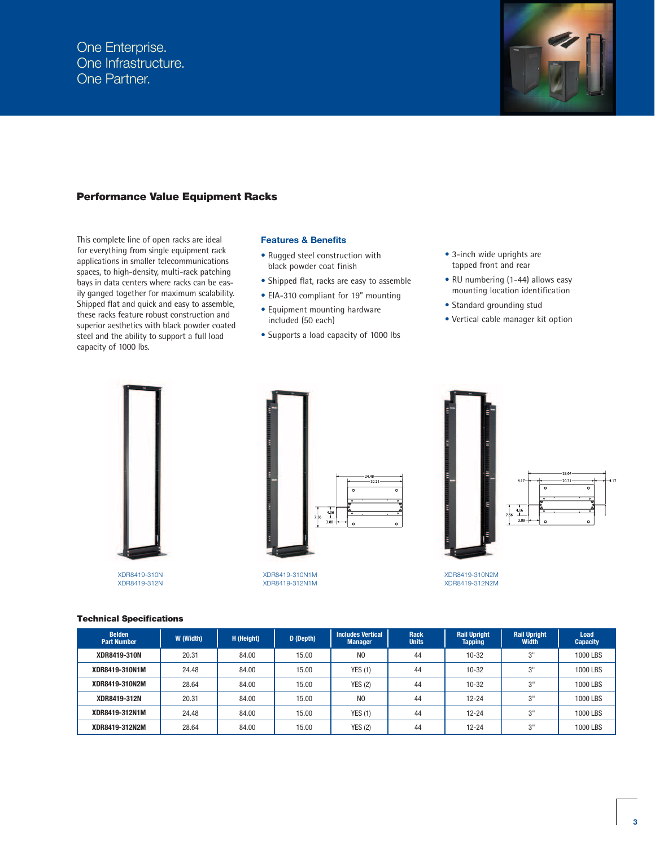

### Performance Value Equipment Racks

This complete line of open racks are ideal for everything from single equipment rack applications in smaller telecommunications spaces, to high-density, multi-rack patching bays in data centers where racks can be easily ganged together for maximum scalability. Shipped flat and quick and easy to assemble, these racks feature robust construction and superior aesthetics with black powder coated steel and the ability to support a full load capacity of 1000 lbs.

#### **Features & Benefits**

- Rugged steel construction with black powder coat finish
- Shipped flat, racks are easy to assemble
- EIA-310 compliant for 19" mounting
- Equipment mounting hardware included (50 each)
- Supports a load capacity of 1000 lbs
- 3-inch wide uprights are tapped front and rear
- RU numbering (1-44) allows easy mounting location identification
- Standard grounding stud
- Vertical cable manager kit option



XDR8419-312N



XDR8419-310N1M XDR8419-312N1M



XDR8419-310N2M XDR8419-312N2M

| <b>Technical Specifications</b> |  |
|---------------------------------|--|
|---------------------------------|--|

| <b>Belden</b><br><b>Part Number</b> | W (Width) | H (Height) | D (Depth) | <b>Includes Vertical</b><br><b>Manager</b> | <b>Rack</b><br><b>Units</b> | <b>Rail Upright</b><br><b>Tapping</b> | <b>Rail Upright</b><br>Width | Load<br><b>Capacity</b> |
|-------------------------------------|-----------|------------|-----------|--------------------------------------------|-----------------------------|---------------------------------------|------------------------------|-------------------------|
| XDR8419-310N                        | 20.31     | 84.00      | 15.00     | N <sub>O</sub>                             | 44                          | $10 - 32$                             | יופ                          | 1000 LBS                |
| XDR8419-310N1M                      | 24.48     | 84.00      | 15.00     | YES(1)                                     | 44                          | $10 - 32$                             | ייפ                          | 1000 LBS                |
| XDR8419-310N2M                      | 28.64     | 84.00      | 15.00     | YES(2)                                     | 44                          | $10 - 32$                             | 3"                           | 1000 LBS                |
| XDR8419-312N                        | 20.31     | 84.00      | 15.00     | N <sub>0</sub>                             | 44                          | $12 - 24$                             | ייפ                          | 1000 LBS                |
| XDR8419-312N1M                      | 24.48     | 84.00      | 15.00     | YES(1)                                     | 44                          | $12 - 24$                             | ייפ                          | 1000 LBS                |
| XDR8419-312N2M                      | 28.64     | 84.00      | 15.00     | <b>YES (2)</b>                             | 44                          | $12 - 24$                             | יופ<br>w                     | 1000 LBS                |